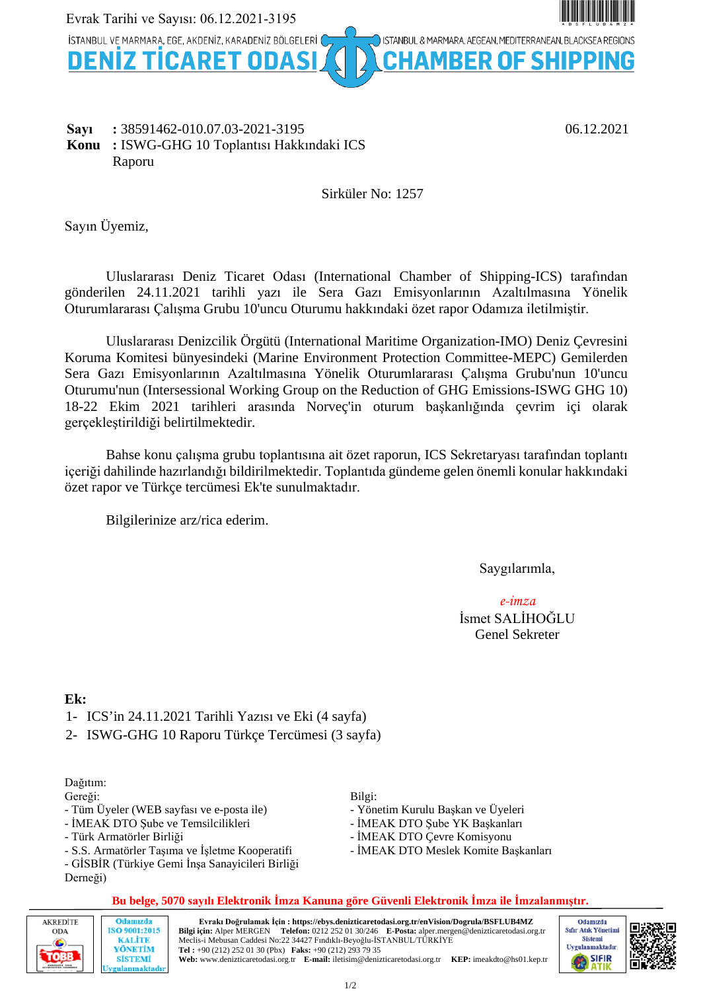

#### **Sayı :** 38591462-010.07.03-2021-3195 06.12.2021 **Konu :** ISWG-GHG 10 Toplantısı Hakkındaki ICS Raporu

Sirküler No: 1257

Sayın Üyemiz,

Uluslararası Deniz Ticaret Odası (International Chamber of Shipping-ICS) tarafından gönderilen 24.11.2021 tarihli yazı ile Sera Gazı Emisyonlarının Azaltılmasına Yönelik Oturumlararası Çalışma Grubu 10'uncu Oturumu hakkındaki özet rapor Odamıza iletilmiştir.

Uluslararası Denizcilik Örgütü (International Maritime Organization-IMO) Deniz Çevresini Koruma Komitesi bünyesindeki (Marine Environment Protection Committee-MEPC) Gemilerden Sera Gazı Emisyonlarının Azaltılmasına Yönelik Oturumlararası Çalışma Grubu'nun 10'uncu Oturumu'nun (Intersessional Working Group on the Reduction of GHG Emissions-ISWG GHG 10) 18-22 Ekim 2021 tarihleri arasında Norveç'in oturum başkanlığında çevrim içi olarak gerçekleştirildiği belirtilmektedir.

Bahse konu çalışma grubu toplantısına ait özet raporun, ICS Sekretaryası tarafından toplantı içeriği dahilinde hazırlandığı bildirilmektedir. Toplantıda gündeme gelen önemli konular hakkındaki özet rapor ve Türkçe tercümesi Ek'te sunulmaktadır.

Bilgilerinize arz/rica ederim.

Saygılarımla,

*e-imza* İsmet SALİHOĞLU Genel Sekreter

### **Ek:**

- 1- ICS'in 24.11.2021 Tarihli Yazısı ve Eki (4 sayfa)
- 2- ISWG-GHG 10 Raporu Türkçe Tercümesi (3 sayfa)

#### Dağıtım:

Gereği:

- Tüm Üyeler (WEB sayfası ve e-posta ile)
- İMEAK DTO Şube ve Temsilcilikleri
- Türk Armatörler Birliği
- S.S. Armatörler Taşıma ve İşletme Kooperatifi
- GİSBİR (Türkiye Gemi İnşa Sanayicileri Birliği

Derneği)

#### Bilgi:

- Yönetim Kurulu Başkan ve Üyeleri
- İMEAK DTO Şube YK Başkanları
- İMEAK DTO Çevre Komisyonu
- İMEAK DTO Meslek Komite Başkanları



1/2

| AKREDİTE | Odamızda                                                      | Evrakı Doğrulamak İcin : https://ebvs.denizticaretodasi.org.tr/enVision/Dogrula/BSFLUB4MZ                                                                                                                                                   |
|----------|---------------------------------------------------------------|---------------------------------------------------------------------------------------------------------------------------------------------------------------------------------------------------------------------------------------------|
| ODA      | ISO 9001:2015                                                 | Bilgi için: Alper MERGEN Telefon: 0212 252 01 30/246 E-Posta: alper mergen@denizticaretodasi.org.tr                                                                                                                                         |
|          | <b>KALITE</b><br>YÖNETİM<br><b>SİSTEMİ</b><br>Uvgulanmaktadır | Meclis-i Mebusan Caddesi No:22 34427 Findikli-Beyoğlu-İSTANBUL/TÜRKİYE<br>Tel: +90 (212) 252 01 30 (Pbx) Faks: +90 (212) 293 79 35<br>Web: www.denizticaretodasi.org.tr E-mail: iletisim@denizticaretodasi.org.tr KEP: imeakdto@hs01.kep.tr |



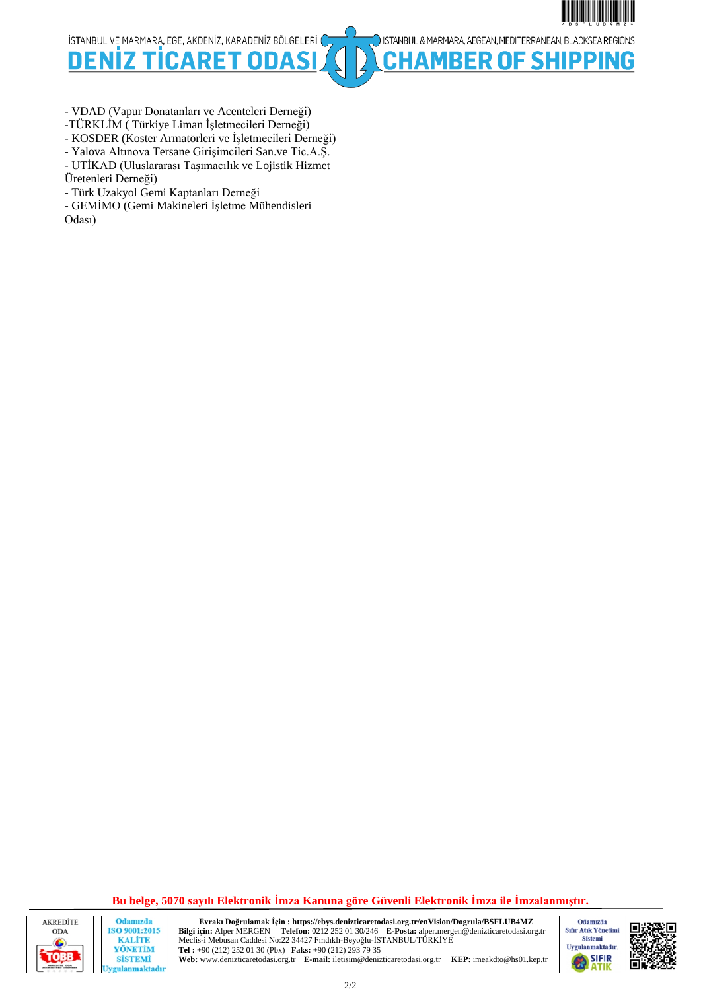İSTANBUL VE MARMARA, EGE, AKDENİZ, KARADENİZ BÖLGELERİ (

**DENI** D FТ n



**BER OF SHIPPING** 

- VDAD (Vapur Donatanları ve Acenteleri Derneği)

-TÜRKLİM ( Türkiye Liman İşletmecileri Derneği)

- KOSDER (Koster Armatörleri ve İşletmecileri Derneği)

- Yalova Altınova Tersane Girişimcileri San.ve Tic.A.Ş.

- UTİKAD (Uluslararası Taşımacılık ve Lojistik Hizmet Üretenleri Derneği)

- Türk Uzakyol Gemi Kaptanları Derneği

- GEMİMO (Gemi Makineleri İşletme Mühendisleri Odası)

**Bu belge, 5070 sayılı Elektronik İmza Kanuna göre Güvenli Elektronik İmza ile İmzalanmıştır.**



Odamızda ISO 9001:2015 **KALITE** YÖNETİM **SİSTEMİ** gulanmaktadı **Evrakı Doğrulamak İçin : https://ebys.denizticaretodasi.org.tr/enVision/Dogrula/BSFLUB4MZ** Telefon: 0212 252 01 30/246 **E-Posta:** alper.mergen@denizticaretodasi.org.tr Meclis-i Mebusan Caddesi No:22 34427 Fındıklı-Beyoğlu-İSTANBUL/TÜRKİYE **Tel :** +90 (212) 252 01 30 (Pbx) **Faks:** +90 (212) 293 79 35 **Web:** www.denizticaretodasi.org.tr **E-mail:** iletisim@denizticaretodasi.org.tr **KEP:** imeakdto@hs01.kep.tr



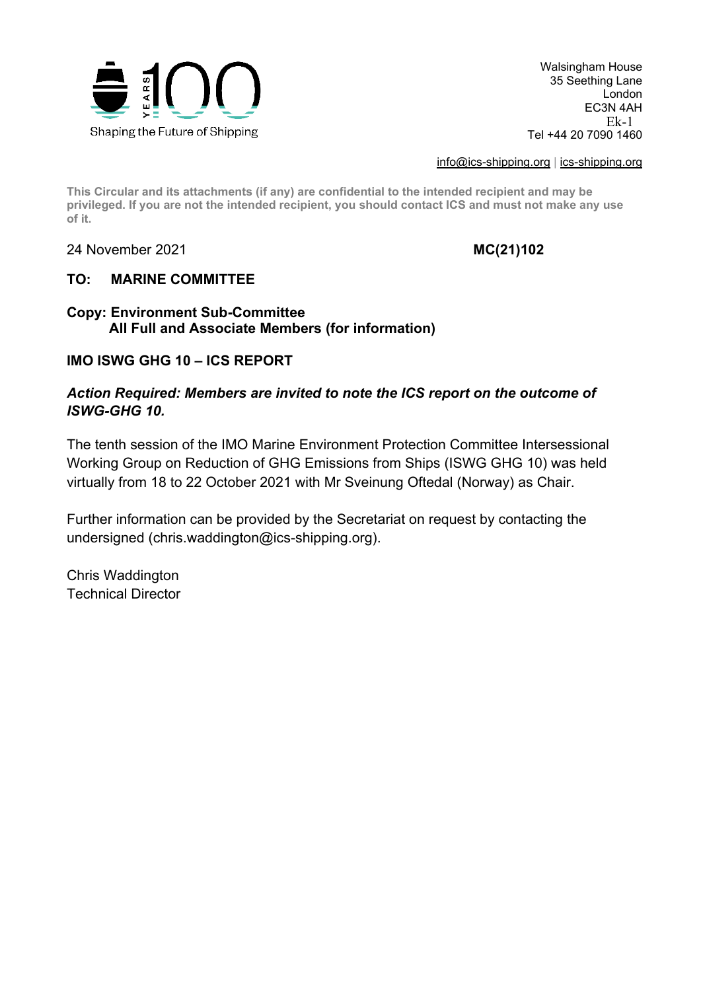

Walsingham House 35 Seething Lane London EC3N 4AH Tel +44 20 7090 1460 Ek-1

[info@ics-shipping.org](mailto:info@ics-shipping.org) | [ics-shipping.org](http://www.ics-shipping.org/)

**This Circular and its attachments (if any) are confidential to the intended recipient and may be privileged. If you are not the intended recipient, you should contact ICS and must not make any use of it.**

24 November 2021 **MC(21)102**

## **TO: MARINE COMMITTEE**

## **Copy: Environment Sub-Committee All Full and Associate Members (for information)**

## **IMO ISWG GHG 10 – ICS REPORT**

## *Action Required: Members are invited to note the ICS report on the outcome of ISWG-GHG 10.*

The tenth session of the IMO Marine Environment Protection Committee Intersessional Working Group on Reduction of GHG Emissions from Ships (ISWG GHG 10) was held virtually from 18 to 22 October 2021 with Mr Sveinung Oftedal (Norway) as Chair.

Further information can be provided by the Secretariat on request by contacting the undersigned (chris.waddington@ics-shipping.org).

Chris Waddington Technical Director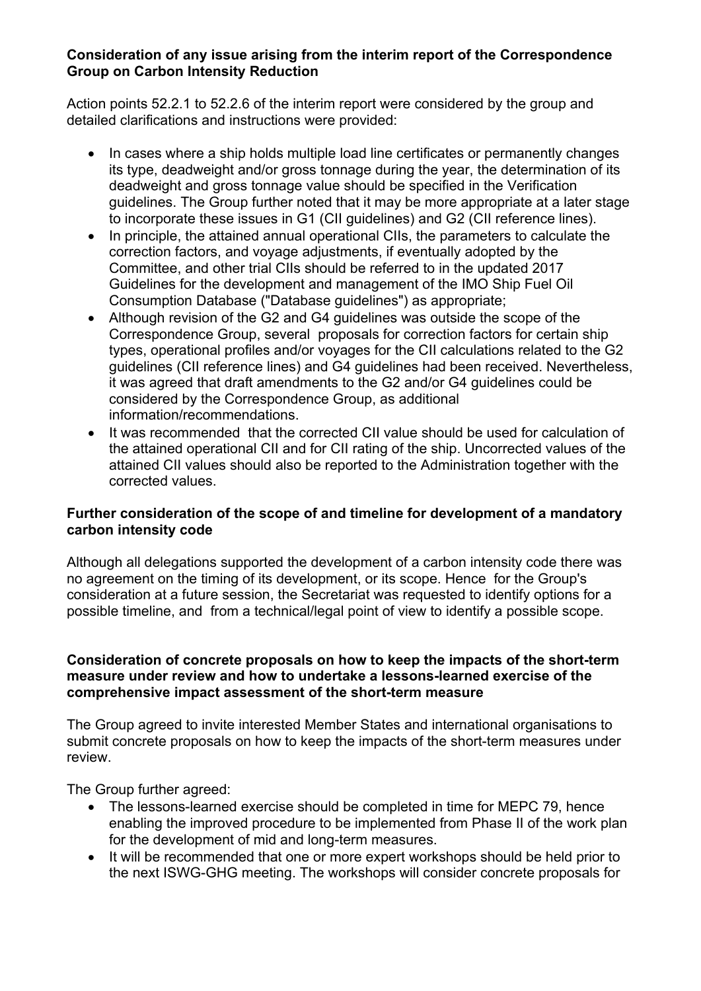## **Consideration of any issue arising from the interim report of the Correspondence Group on Carbon Intensity Reduction**

Action points 52.2.1 to 52.2.6 of the interim report were considered by the group and detailed clarifications and instructions were provided:

- In cases where a ship holds multiple load line certificates or permanently changes its type, deadweight and/or gross tonnage during the year, the determination of its deadweight and gross tonnage value should be specified in the Verification guidelines. The Group further noted that it may be more appropriate at a later stage to incorporate these issues in G1 (CII guidelines) and G2 (CII reference lines).
- In principle, the attained annual operational CIIs, the parameters to calculate the correction factors, and voyage adjustments, if eventually adopted by the Committee, and other trial CIIs should be referred to in the updated 2017 Guidelines for the development and management of the IMO Ship Fuel Oil Consumption Database ("Database guidelines") as appropriate;
- Although revision of the G2 and G4 guidelines was outside the scope of the Correspondence Group, several proposals for correction factors for certain ship types, operational profiles and/or voyages for the CII calculations related to the G2 guidelines (CII reference lines) and G4 guidelines had been received. Nevertheless, it was agreed that draft amendments to the G2 and/or G4 guidelines could be considered by the Correspondence Group, as additional information/recommendations.
- It was recommended that the corrected CII value should be used for calculation of the attained operational CII and for CII rating of the ship. Uncorrected values of the attained CII values should also be reported to the Administration together with the corrected values.

### **Further consideration of the scope of and timeline for development of a mandatory carbon intensity code**

Although all delegations supported the development of a carbon intensity code there was no agreement on the timing of its development, or its scope. Hence for the Groupʹs consideration at a future session, the Secretariat was requested to identify options for a possible timeline, and from a technical/legal point of view to identify a possible scope.

### **Consideration of concrete proposals on how to keep the impacts of the short-term measure under review and how to undertake a lessons-learned exercise of the comprehensive impact assessment of the short-term measure**

The Group agreed to invite interested Member States and international organisations to submit concrete proposals on how to keep the impacts of the short-term measures under review.

The Group further agreed:

- The lessons-learned exercise should be completed in time for MEPC 79, hence enabling the improved procedure to be implemented from Phase II of the work plan for the development of mid and long-term measures.
- It will be recommended that one or more expert workshops should be held prior to the next ISWG-GHG meeting. The workshops will consider concrete proposals for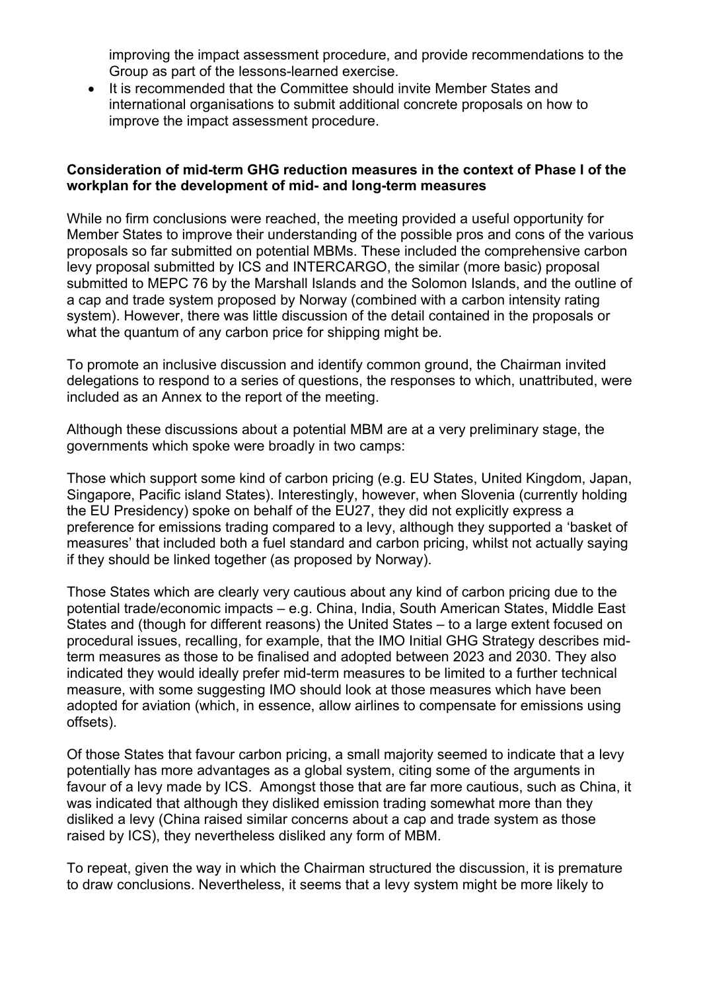improving the impact assessment procedure, and provide recommendations to the Group as part of the lessons-learned exercise.

• It is recommended that the Committee should invite Member States and international organisations to submit additional concrete proposals on how to improve the impact assessment procedure.

### **Consideration of mid-term GHG reduction measures in the context of Phase I of the workplan for the development of mid- and long-term measures**

While no firm conclusions were reached, the meeting provided a useful opportunity for Member States to improve their understanding of the possible pros and cons of the various proposals so far submitted on potential MBMs. These included the comprehensive carbon levy proposal submitted by ICS and INTERCARGO, the similar (more basic) proposal submitted to MEPC 76 by the Marshall Islands and the Solomon Islands, and the outline of a cap and trade system proposed by Norway (combined with a carbon intensity rating system). However, there was little discussion of the detail contained in the proposals or what the quantum of any carbon price for shipping might be.

To promote an inclusive discussion and identify common ground, the Chairman invited delegations to respond to a series of questions, the responses to which, unattributed, were included as an Annex to the report of the meeting.

Although these discussions about a potential MBM are at a very preliminary stage, the governments which spoke were broadly in two camps:

Those which support some kind of carbon pricing (e.g. EU States, United Kingdom, Japan, Singapore, Pacific island States). Interestingly, however, when Slovenia (currently holding the EU Presidency) spoke on behalf of the EU27, they did not explicitly express a preference for emissions trading compared to a levy, although they supported a 'basket of measures' that included both a fuel standard and carbon pricing, whilst not actually saying if they should be linked together (as proposed by Norway).

Those States which are clearly very cautious about any kind of carbon pricing due to the potential trade/economic impacts – e.g. China, India, South American States, Middle East States and (though for different reasons) the United States – to a large extent focused on procedural issues, recalling, for example, that the IMO Initial GHG Strategy describes midterm measures as those to be finalised and adopted between 2023 and 2030. They also indicated they would ideally prefer mid-term measures to be limited to a further technical measure, with some suggesting IMO should look at those measures which have been adopted for aviation (which, in essence, allow airlines to compensate for emissions using offsets).

Of those States that favour carbon pricing, a small majority seemed to indicate that a levy potentially has more advantages as a global system, citing some of the arguments in favour of a levy made by ICS. Amongst those that are far more cautious, such as China, it was indicated that although they disliked emission trading somewhat more than they disliked a levy (China raised similar concerns about a cap and trade system as those raised by ICS), they nevertheless disliked any form of MBM.

To repeat, given the way in which the Chairman structured the discussion, it is premature to draw conclusions. Nevertheless, it seems that a levy system might be more likely to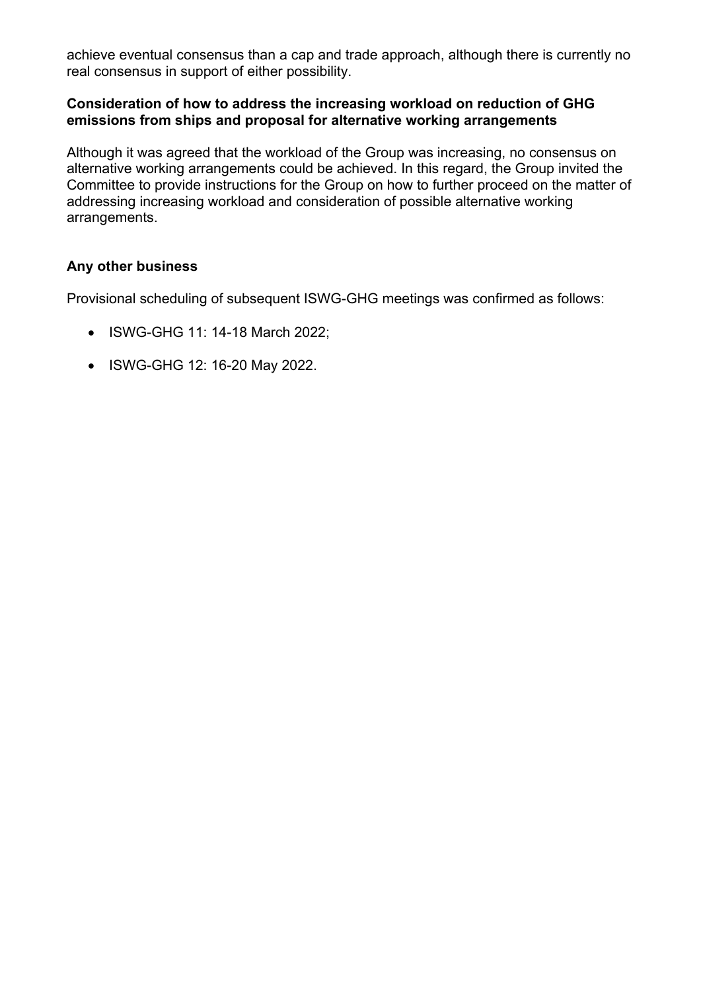achieve eventual consensus than a cap and trade approach, although there is currently no real consensus in support of either possibility.

### **Consideration of how to address the increasing workload on reduction of GHG emissions from ships and proposal for alternative working arrangements**

Although it was agreed that the workload of the Group was increasing, no consensus on alternative working arrangements could be achieved. In this regard, the Group invited the Committee to provide instructions for the Group on how to further proceed on the matter of addressing increasing workload and consideration of possible alternative working arrangements.

### **Any other business**

Provisional scheduling of subsequent ISWG-GHG meetings was confirmed as follows:

- ISWG-GHG 11: 14-18 March 2022;
- ISWG-GHG 12: 16-20 May 2022.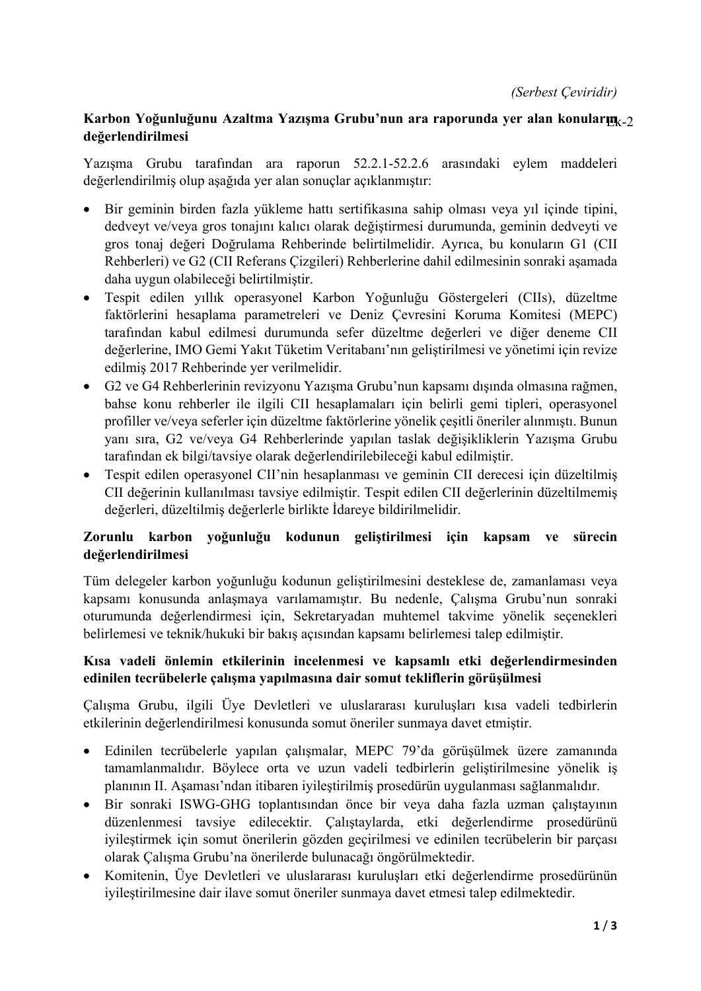# **Karbon Yoğunluğunu Azaltma Yazışma Grubu'nun ara raporunda yer alan konuların** Ek-2 **değerlendirilmesi**

Yazışma Grubu tarafından ara raporun 52.2.1-52.2.6 arasındaki eylem maddeleri değerlendirilmiş olup aşağıda yer alan sonuçlar açıklanmıştır:

- Bir geminin birden fazla yükleme hattı sertifikasına sahip olması veya yıl içinde tipini, dedveyt ve/veya gros tonajını kalıcı olarak değiştirmesi durumunda, geminin dedveyti ve gros tonaj değeri Doğrulama Rehberinde belirtilmelidir. Ayrıca, bu konuların G1 (CII Rehberleri) ve G2 (CII Referans Çizgileri) Rehberlerine dahil edilmesinin sonraki aşamada daha uygun olabileceği belirtilmiştir.
- Tespit edilen yıllık operasyonel Karbon Yoğunluğu Göstergeleri (CIIs), düzeltme faktörlerini hesaplama parametreleri ve Deniz Çevresini Koruma Komitesi (MEPC) tarafından kabul edilmesi durumunda sefer düzeltme değerleri ve diğer deneme CII değerlerine, IMO Gemi Yakıt Tüketim Veritabanı'nın geliştirilmesi ve yönetimi için revize edilmiş 2017 Rehberinde yer verilmelidir.
- G2 ve G4 Rehberlerinin revizyonu Yazışma Grubu'nun kapsamı dışında olmasına rağmen, bahse konu rehberler ile ilgili CII hesaplamaları için belirli gemi tipleri, operasyonel profiller ve/veya seferler için düzeltme faktörlerine yönelik çeşitli öneriler alınmıştı. Bunun yanı sıra, G2 ve/veya G4 Rehberlerinde yapılan taslak değişikliklerin Yazışma Grubu tarafından ek bilgi/tavsiye olarak değerlendirilebileceği kabul edilmiştir.
- Tespit edilen operasyonel CII'nin hesaplanması ve geminin CII derecesi için düzeltilmiş CII değerinin kullanılması tavsiye edilmiştir. Tespit edilen CII değerlerinin düzeltilmemiş değerleri, düzeltilmiş değerlerle birlikte İdareye bildirilmelidir.

# **Zorunlu karbon yoğunluğu kodunun geliştirilmesi için kapsam ve sürecin değerlendirilmesi**

Tüm delegeler karbon yoğunluğu kodunun geliştirilmesini desteklese de, zamanlaması veya kapsamı konusunda anlaşmaya varılamamıştır. Bu nedenle, Çalışma Grubu'nun sonraki oturumunda değerlendirmesi için, Sekretaryadan muhtemel takvime yönelik seçenekleri belirlemesi ve teknik/hukuki bir bakış açısından kapsamı belirlemesi talep edilmiştir.

## **Kısa vadeli önlemin etkilerinin incelenmesi ve kapsamlı etki değerlendirmesinden edinilen tecrübelerle çalışma yapılmasına dair somut tekliflerin görüşülmesi**

Çalışma Grubu, ilgili Üye Devletleri ve uluslararası kuruluşları kısa vadeli tedbirlerin etkilerinin değerlendirilmesi konusunda somut öneriler sunmaya davet etmiştir.

- Edinilen tecrübelerle yapılan çalışmalar, MEPC 79'da görüşülmek üzere zamanında tamamlanmalıdır. Böylece orta ve uzun vadeli tedbirlerin geliştirilmesine yönelik iş planının II. Aşaması'ndan itibaren iyileştirilmiş prosedürün uygulanması sağlanmalıdır.
- Bir sonraki ISWG-GHG toplantısından önce bir veya daha fazla uzman çalıştayının düzenlenmesi tavsiye edilecektir. Çalıştaylarda, etki değerlendirme prosedürünü iyileştirmek için somut önerilerin gözden geçirilmesi ve edinilen tecrübelerin bir parçası olarak Çalışma Grubu'na önerilerde bulunacağı öngörülmektedir.
- Komitenin, Üye Devletleri ve uluslararası kuruluşları etki değerlendirme prosedürünün iyileştirilmesine dair ilave somut öneriler sunmaya davet etmesi talep edilmektedir.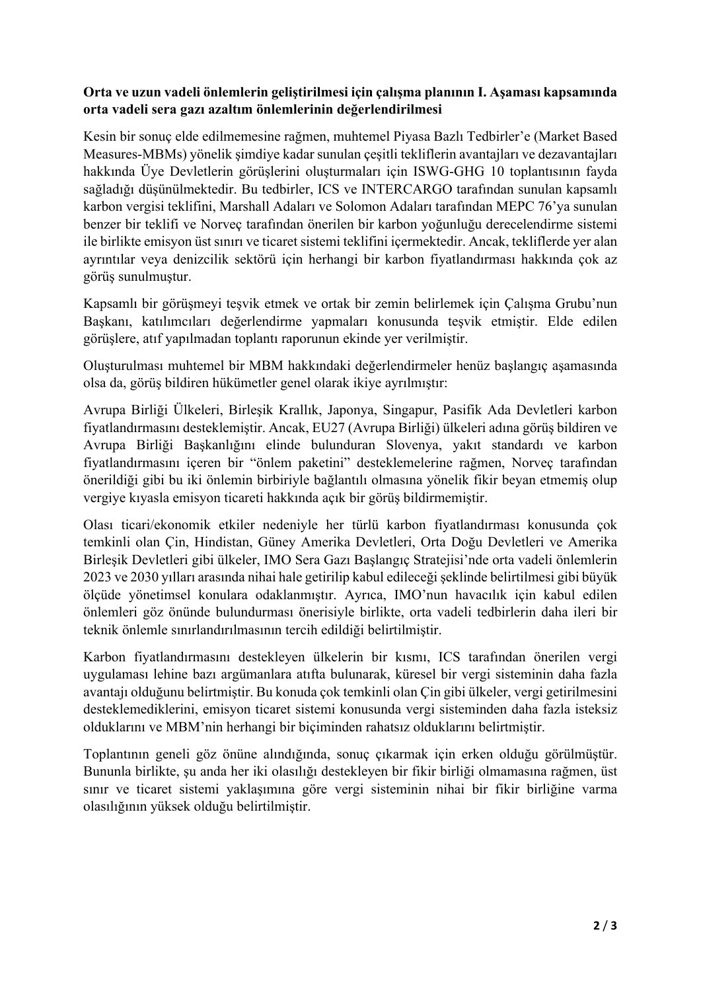## **Orta ve uzun vadeli önlemlerin geliştirilmesi için çalışma planının I. Aşaması kapsamında orta vadeli sera gazı azaltım önlemlerinin değerlendirilmesi**

Kesin bir sonuç elde edilmemesine rağmen, muhtemel Piyasa Bazlı Tedbirler'e (Market Based Measures-MBMs) yönelik şimdiye kadar sunulan çeşitli tekliflerin avantajları ve dezavantajları hakkında Üye Devletlerin görüşlerini oluşturmaları için ISWG-GHG 10 toplantısının fayda sağladığı düşünülmektedir. Bu tedbirler, ICS ve INTERCARGO tarafından sunulan kapsamlı karbon vergisi teklifini, Marshall Adaları ve Solomon Adaları tarafından MEPC 76'ya sunulan benzer bir teklifi ve Norveç tarafından önerilen bir karbon yoğunluğu derecelendirme sistemi ile birlikte emisyon üst sınırı ve ticaret sistemi teklifini içermektedir. Ancak, tekliflerde yer alan ayrıntılar veya denizcilik sektörü için herhangi bir karbon fiyatlandırması hakkında çok az görüş sunulmuştur.

Kapsamlı bir görüşmeyi teşvik etmek ve ortak bir zemin belirlemek için Çalışma Grubu'nun Başkanı, katılımcıları değerlendirme yapmaları konusunda teşvik etmiştir. Elde edilen görüşlere, atıf yapılmadan toplantı raporunun ekinde yer verilmiştir.

Oluşturulması muhtemel bir MBM hakkındaki değerlendirmeler henüz başlangıç aşamasında olsa da, görüş bildiren hükümetler genel olarak ikiye ayrılmıştır:

Avrupa Birliği Ülkeleri, Birleşik Krallık, Japonya, Singapur, Pasifik Ada Devletleri karbon fiyatlandırmasını desteklemiştir. Ancak, EU27 (Avrupa Birliği) ülkeleri adına görüş bildiren ve Avrupa Birliği Başkanlığını elinde bulunduran Slovenya, yakıt standardı ve karbon fiyatlandırmasını içeren bir "önlem paketini" desteklemelerine rağmen, Norveç tarafından önerildiği gibi bu iki önlemin birbiriyle bağlantılı olmasına yönelik fikir beyan etmemiş olup vergiye kıyasla emisyon ticareti hakkında açık bir görüş bildirmemiştir.

Olası ticari/ekonomik etkiler nedeniyle her türlü karbon fiyatlandırması konusunda çok temkinli olan Çin, Hindistan, Güney Amerika Devletleri, Orta Doğu Devletleri ve Amerika Birleşik Devletleri gibi ülkeler, IMO Sera Gazı Başlangıç Stratejisi'nde orta vadeli önlemlerin 2023 ve 2030 yılları arasında nihai hale getirilip kabul edileceğişeklinde belirtilmesi gibi büyük ölçüde yönetimsel konulara odaklanmıştır. Ayrıca, IMO'nun havacılık için kabul edilen önlemleri göz önünde bulundurması önerisiyle birlikte, orta vadeli tedbirlerin daha ileri bir teknik önlemle sınırlandırılmasının tercih edildiği belirtilmiştir.

Karbon fiyatlandırmasını destekleyen ülkelerin bir kısmı, ICS tarafından önerilen vergi uygulaması lehine bazı argümanlara atıfta bulunarak, küresel bir vergi sisteminin daha fazla avantajı olduğunu belirtmiştir. Bu konuda çok temkinli olan Çin gibi ülkeler, vergi getirilmesini desteklemediklerini, emisyon ticaret sistemi konusunda vergi sisteminden daha fazla isteksiz olduklarını ve MBM'nin herhangi bir biçiminden rahatsız olduklarını belirtmiştir.

Toplantının geneli göz önüne alındığında, sonuç çıkarmak için erken olduğu görülmüştür. Bununla birlikte, şu anda her iki olasılığı destekleyen bir fikir birliği olmamasına rağmen, üst sınır ve ticaret sistemi yaklaşımına göre vergi sisteminin nihai bir fikir birliğine varma olasılığının yüksek olduğu belirtilmiştir.